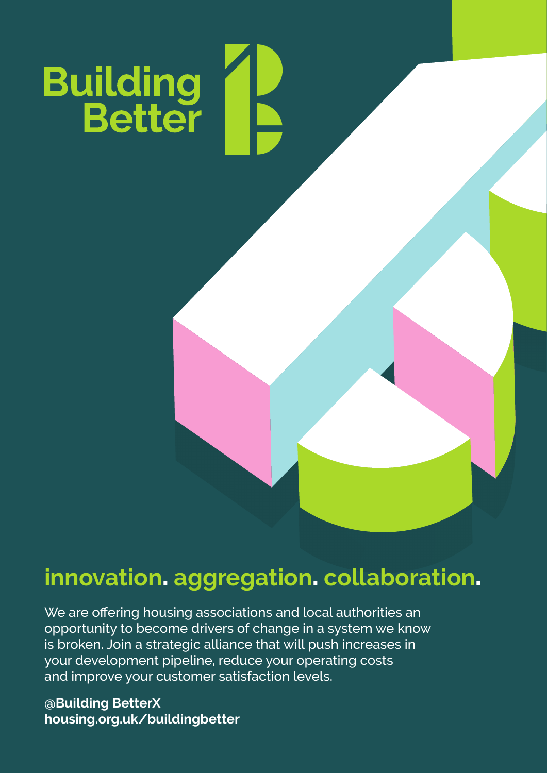

## **innovation**. **aggregation**. **collaboration**.

We are offering housing associations and local authorities an opportunity to become drivers of change in a system we know is broken. Join a strategic alliance that will push increases in your development pipeline, reduce your operating costs and improve your customer satisfaction levels.

**@Building BetterX housing.org.uk/buildingbetter**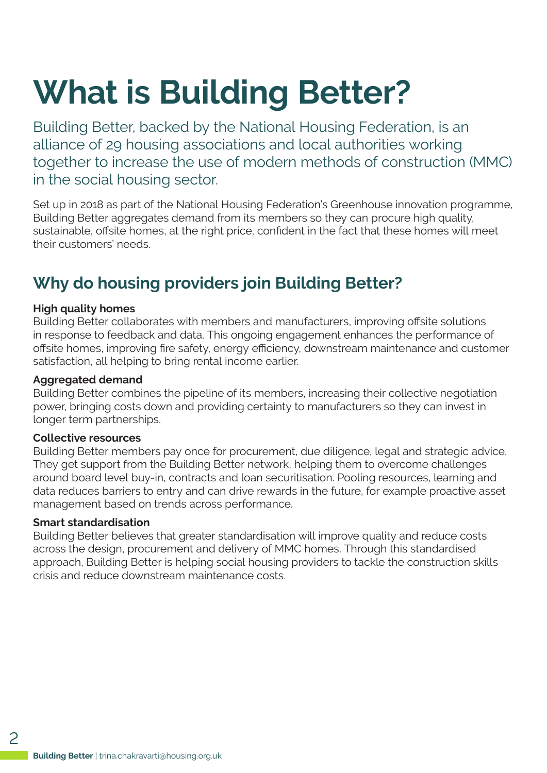## **What is Building Better?**

Building Better, backed by the National Housing Federation, is an alliance of 29 housing associations and local authorities working together to increase the use of modern methods of construction (MMC) in the social housing sector.

Set up in 2018 as part of the National Housing Federation's Greenhouse innovation programme, Building Better aggregates demand from its members so they can procure high quality, sustainable, offsite homes, at the right price, confident in the fact that these homes will meet their customers' needs.

## **Why do housing providers join Building Better?**

### **High quality homes**

Building Better collaborates with members and manufacturers, improving offsite solutions in response to feedback and data. This ongoing engagement enhances the performance of offsite homes, improving fire safety, energy efficiency, downstream maintenance and customer satisfaction, all helping to bring rental income earlier.

### **Aggregated demand**

Building Better combines the pipeline of its members, increasing their collective negotiation power, bringing costs down and providing certainty to manufacturers so they can invest in longer term partnerships.

#### **Collective resources**

Building Better members pay once for procurement, due diligence, legal and strategic advice. They get support from the Building Better network, helping them to overcome challenges around board level buy-in, contracts and loan securitisation. Pooling resources, learning and data reduces barriers to entry and can drive rewards in the future, for example proactive asset management based on trends across performance.

#### **Smart standardisation**

Building Better believes that greater standardisation will improve quality and reduce costs across the design, procurement and delivery of MMC homes. Through this standardised approach, Building Better is helping social housing providers to tackle the construction skills crisis and reduce downstream maintenance costs.

 $\mathcal{P}$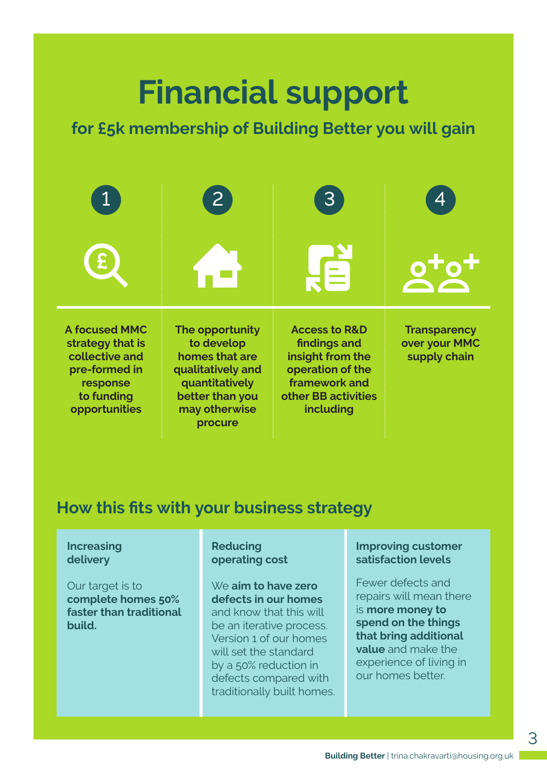## **Financial support**

## **for £5k membership of Building Better you will gain**

|                                                                                                                        | $\mathsf{2}$                                                                                                                          | 3                                                                                                                                     |                                                      |
|------------------------------------------------------------------------------------------------------------------------|---------------------------------------------------------------------------------------------------------------------------------------|---------------------------------------------------------------------------------------------------------------------------------------|------------------------------------------------------|
|                                                                                                                        |                                                                                                                                       | 自                                                                                                                                     |                                                      |
| <b>A focused MMC</b><br>strategy that is<br>collective and<br>pre-formed in<br>response<br>to funding<br>opportunities | The opportunity<br>to develop<br>homes that are<br>qualitatively and<br>quantitatively<br>better than you<br>may otherwise<br>procure | <b>Access to R&amp;D</b><br>findings and<br>insight from the<br>operation of the<br>framework and<br>other BB activities<br>including | <b>Transparency</b><br>over your MMC<br>supply chain |

## **How this fits with your business strategy**

### **Increasing delivery**

Our target is to **complete homes 50% faster than traditional build.**

**Reducing operating cost** 

We **aim to have zero defects in our homes** and know that this will be an iterative process. Version 1 of our homes will set the standard by a 50% reduction in defects compared with traditionally built homes.

### **Improving customer satisfaction levels**

Fewer defects and repairs will mean there is **more money to spend on the things that bring additional value** and make the experience of living in our homes better.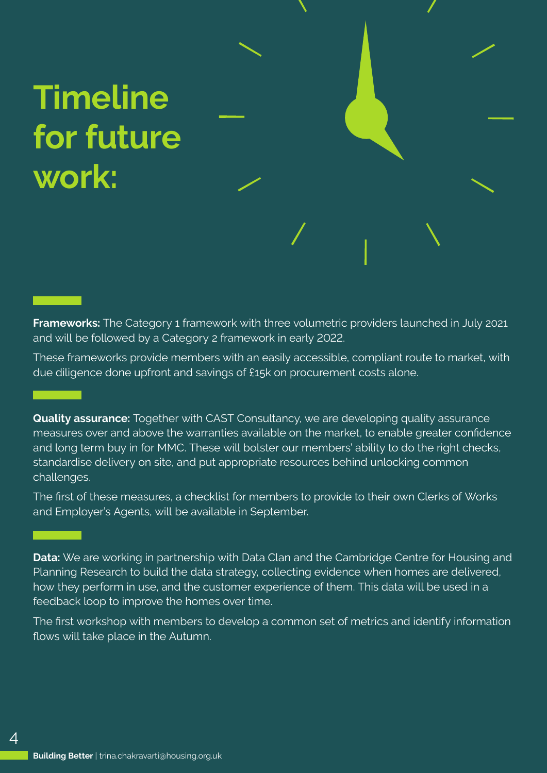## **Timeline for future work:**

**Frameworks:** The Category 1 framework with three volumetric providers launched in July 2021 and will be followed by a Category 2 framework in early 2022.

These frameworks provide members with an easily accessible, compliant route to market, with due diligence done upfront and savings of £15k on procurement costs alone.

**Quality assurance:** Together with CAST Consultancy, we are developing quality assurance measures over and above the warranties available on the market, to enable greater confidence and long term buy in for MMC. These will bolster our members' ability to do the right checks, standardise delivery on site, and put appropriate resources behind unlocking common challenges.

The first of these measures, a checklist for members to provide to their own Clerks of Works and Employer's Agents, will be available in September.

**Data:** We are working in partnership with Data Clan and the Cambridge Centre for Housing and Planning Research to build the data strategy, collecting evidence when homes are delivered, how they perform in use, and the customer experience of them. This data will be used in a feedback loop to improve the homes over time.

The first workshop with members to develop a common set of metrics and identify information flows will take place in the Autumn.

 $\varDelta$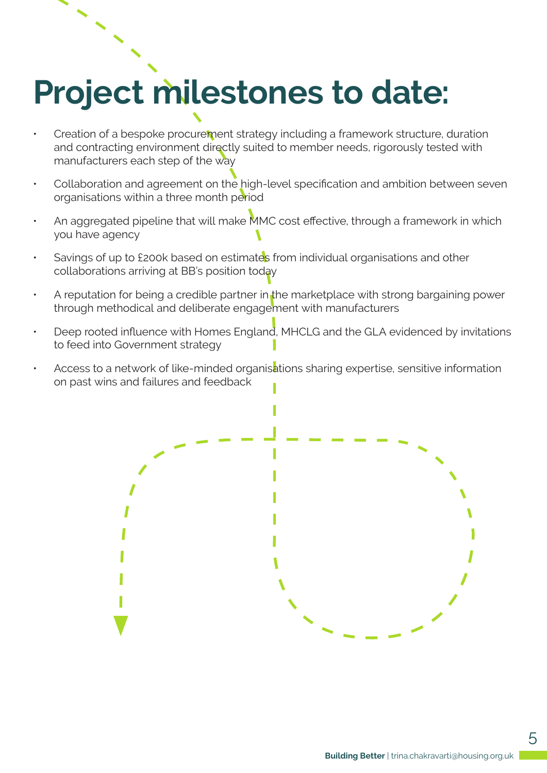# **Project milestones to date:**

- Creation of a bespoke procurement strategy including a framework structure, duration and contracting environment directly suited to member needs, rigorously tested with manufacturers each step of the way
- Collaboration and agreement on the high-level specification and ambition between seven organisations within a three month period
- An aggregated pipeline that will make MMC cost effective, through a framework in which you have agency
- Savings of up to £200k based on estimates from individual organisations and other collaborations arriving at BB's position today
- A reputation for being a credible partner in the marketplace with strong bargaining power through methodical and deliberate engagement with manufacturers
- Deep rooted influence with Homes England, MHCLG and the GLA evidenced by invitations to feed into Government strategy
- Access to a network of like-minded organisations sharing expertise, sensitive information on past wins and failures and feedback